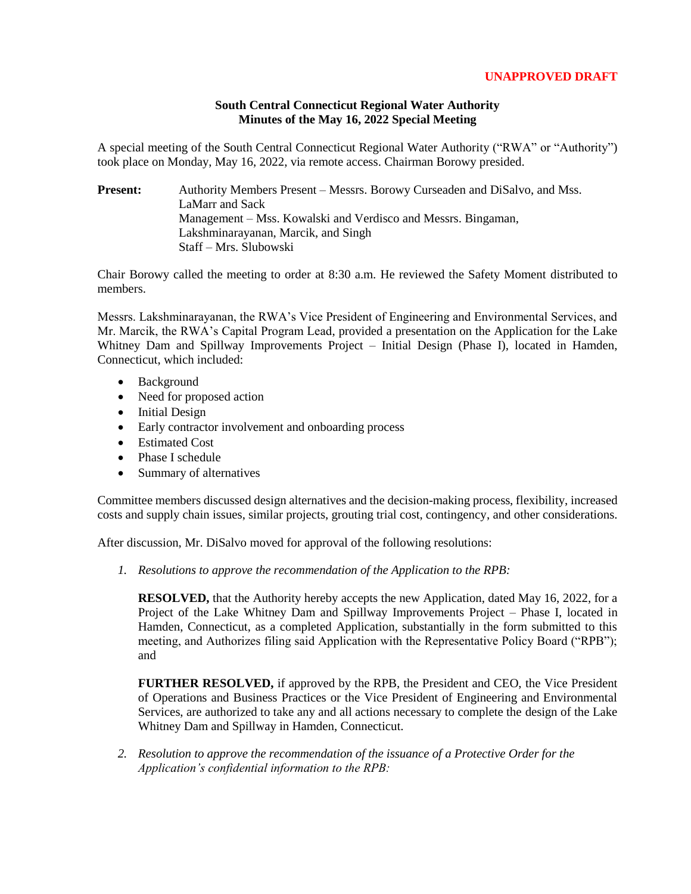## **UNAPPROVED DRAFT**

## **South Central Connecticut Regional Water Authority Minutes of the May 16, 2022 Special Meeting**

A special meeting of the South Central Connecticut Regional Water Authority ("RWA" or "Authority") took place on Monday, May 16, 2022, via remote access. Chairman Borowy presided.

**Present:** Authority Members Present – Messrs. Borowy Curseaden and DiSalvo, and Mss. LaMarr and Sack Management – Mss. Kowalski and Verdisco and Messrs. Bingaman, Lakshminarayanan, Marcik, and Singh Staff – Mrs. Slubowski

Chair Borowy called the meeting to order at 8:30 a.m. He reviewed the Safety Moment distributed to members.

Messrs. Lakshminarayanan, the RWA's Vice President of Engineering and Environmental Services, and Mr. Marcik, the RWA's Capital Program Lead, provided a presentation on the Application for the Lake Whitney Dam and Spillway Improvements Project – Initial Design (Phase I), located in Hamden, Connecticut, which included:

- Background
- Need for proposed action
- Initial Design
- Early contractor involvement and onboarding process
- Estimated Cost
- Phase I schedule
- Summary of alternatives

Committee members discussed design alternatives and the decision-making process, flexibility, increased costs and supply chain issues, similar projects, grouting trial cost, contingency, and other considerations.

After discussion, Mr. DiSalvo moved for approval of the following resolutions:

*1. Resolutions to approve the recommendation of the Application to the RPB:*

**RESOLVED,** that the Authority hereby accepts the new Application, dated May 16, 2022, for a Project of the Lake Whitney Dam and Spillway Improvements Project – Phase I, located in Hamden, Connecticut, as a completed Application, substantially in the form submitted to this meeting, and Authorizes filing said Application with the Representative Policy Board ("RPB"); and

**FURTHER RESOLVED,** if approved by the RPB, the President and CEO, the Vice President of Operations and Business Practices or the Vice President of Engineering and Environmental Services, are authorized to take any and all actions necessary to complete the design of the Lake Whitney Dam and Spillway in Hamden, Connecticut.

*2. Resolution to approve the recommendation of the issuance of a Protective Order for the Application's confidential information to the RPB:*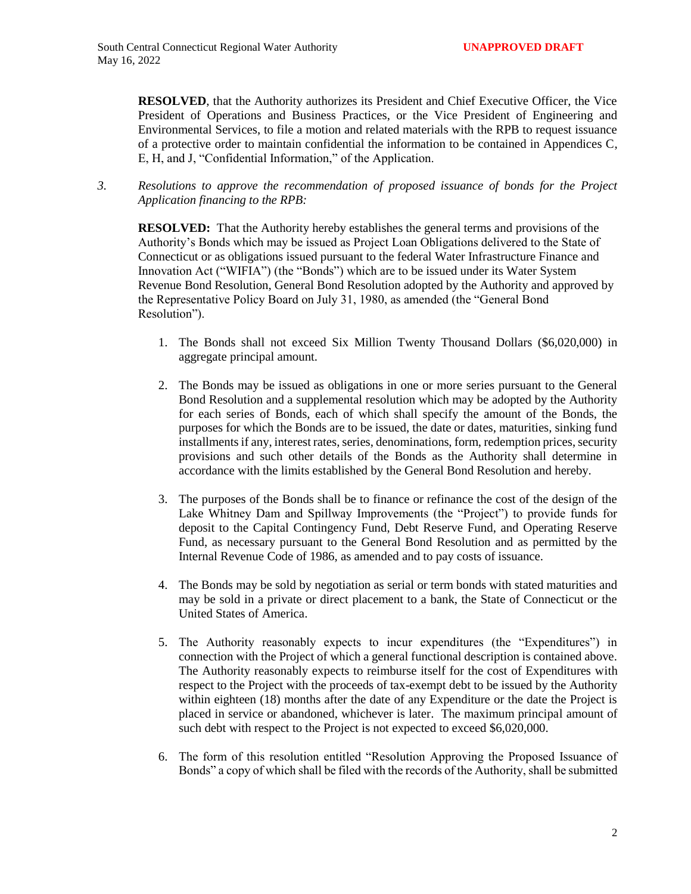**RESOLVED**, that the Authority authorizes its President and Chief Executive Officer, the Vice President of Operations and Business Practices, or the Vice President of Engineering and Environmental Services, to file a motion and related materials with the RPB to request issuance of a protective order to maintain confidential the information to be contained in Appendices C, E, H, and J, "Confidential Information," of the Application.

*3. Resolutions to approve the recommendation of proposed issuance of bonds for the Project Application financing to the RPB:*

**RESOLVED:** That the Authority hereby establishes the general terms and provisions of the Authority's Bonds which may be issued as Project Loan Obligations delivered to the State of Connecticut or as obligations issued pursuant to the federal Water Infrastructure Finance and Innovation Act ("WIFIA") (the "Bonds") which are to be issued under its Water System Revenue Bond Resolution, General Bond Resolution adopted by the Authority and approved by the Representative Policy Board on July 31, 1980, as amended (the "General Bond Resolution").

- 1. The Bonds shall not exceed Six Million Twenty Thousand Dollars (\$6,020,000) in aggregate principal amount.
- 2. The Bonds may be issued as obligations in one or more series pursuant to the General Bond Resolution and a supplemental resolution which may be adopted by the Authority for each series of Bonds, each of which shall specify the amount of the Bonds, the purposes for which the Bonds are to be issued, the date or dates, maturities, sinking fund installments if any, interest rates, series, denominations, form, redemption prices, security provisions and such other details of the Bonds as the Authority shall determine in accordance with the limits established by the General Bond Resolution and hereby.
- 3. The purposes of the Bonds shall be to finance or refinance the cost of the design of the Lake Whitney Dam and Spillway Improvements (the "Project") to provide funds for deposit to the Capital Contingency Fund, Debt Reserve Fund, and Operating Reserve Fund, as necessary pursuant to the General Bond Resolution and as permitted by the Internal Revenue Code of 1986, as amended and to pay costs of issuance.
- 4. The Bonds may be sold by negotiation as serial or term bonds with stated maturities and may be sold in a private or direct placement to a bank, the State of Connecticut or the United States of America.
- 5. The Authority reasonably expects to incur expenditures (the "Expenditures") in connection with the Project of which a general functional description is contained above. The Authority reasonably expects to reimburse itself for the cost of Expenditures with respect to the Project with the proceeds of tax-exempt debt to be issued by the Authority within eighteen (18) months after the date of any Expenditure or the date the Project is placed in service or abandoned, whichever is later. The maximum principal amount of such debt with respect to the Project is not expected to exceed \$6,020,000.
- 6. The form of this resolution entitled "Resolution Approving the Proposed Issuance of Bonds" a copy of which shall be filed with the records of the Authority, shall be submitted